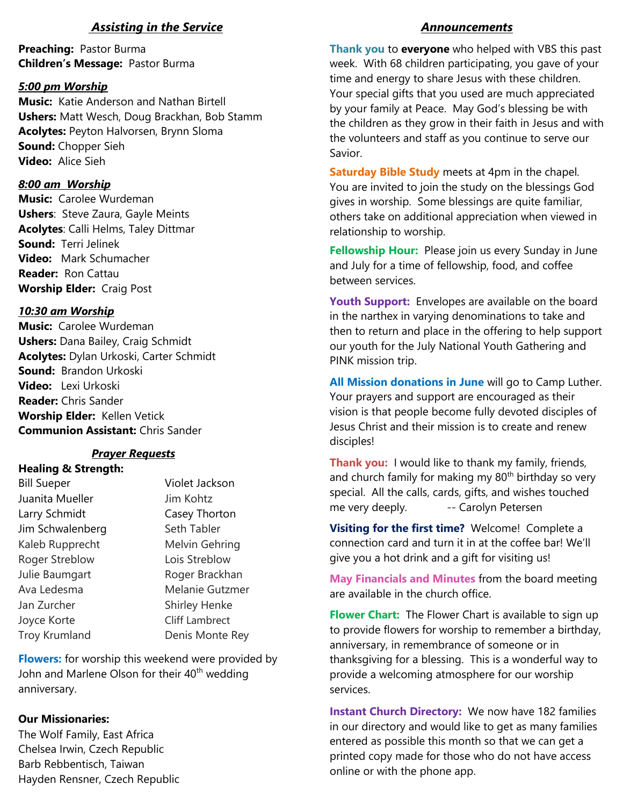## *Assisting in the Service*

**Preaching:** Pastor Burma **Children's Message:** Pastor Burma

#### *5:00 pm Worship*

**Music:** Katie Anderson and Nathan Birtell **Ushers:** Matt Wesch, Doug Brackhan, Bob Stamm **Acolytes:** Peyton Halvorsen, Brynn Sloma **Sound:** Chopper Sieh **Video:** Alice Sieh

### *8:00 am Worship*

**Music:** Carolee Wurdeman **Ushers**: Steve Zaura, Gayle Meints **Acolytes**: Calli Helms, Taley Dittmar **Sound:** Terri Jelinek **Video:** Mark Schumacher **Reader:** Ron Cattau **Worship Elder:** Craig Post

### *10:30 am Worship*

**Music:** Carolee Wurdeman **Ushers:** Dana Bailey, Craig Schmidt **Acolytes:** Dylan Urkoski, Carter Schmidt **Sound:** Brandon Urkoski **Video:** Lexi Urkoski **Reader:** Chris Sander **Worship Elder:** Kellen Vetick **Communion Assistant:** Chris Sander

## *Prayer Requests*

**Healing & Strength:** Bill Sueper Violet Jackson Juanita Mueller **Jim Kohtz** Larry Schmidt Casey Thorton Jim Schwalenberg Seth Tabler Kaleb Rupprecht Melvin Gehring Roger Streblow Lois Streblow Julie Baumgart **Roger Brackhan** Jan Zurcher Shirley Henke Joyce Korte Cliff Lambrect Troy Krumland Denis Monte Rey

Ava Ledesma<br>
Melanie Gutzmer

**Flowers:** for worship this weekend were provided by John and Marlene Olson for their 40<sup>th</sup> wedding anniversary.

#### **Our Missionaries:**

The Wolf Family, East Africa Chelsea Irwin, Czech Republic Barb Rebbentisch, Taiwan Hayden Rensner, Czech Republic

#### *Announcements*

**Thank you** to **everyone** who helped with VBS this past week. With 68 children participating, you gave of your time and energy to share Jesus with these children. Your special gifts that you used are much appreciated by your family at Peace. May God's blessing be with the children as they grow in their faith in Jesus and with the volunteers and staff as you continue to serve our Savior.

**Saturday Bible Study** meets at 4pm in the chapel. You are invited to join the study on the blessings God gives in worship. Some blessings are quite familiar, others take on additional appreciation when viewed in relationship to worship.

**Fellowship Hour:** Please join us every Sunday in June and July for a time of fellowship, food, and coffee between services.

**Youth Support:** Envelopes are available on the board in the narthex in varying denominations to take and then to return and place in the offering to help support our youth for the July National Youth Gathering and PINK mission trip.

**All Mission donations in June** will go to Camp Luther. Your prayers and support are encouraged as their vision is that people become fully devoted disciples of Jesus Christ and their mission is to create and renew disciples!

**Thank you:** I would like to thank my family, friends, and church family for making my  $80<sup>th</sup>$  birthday so very special. All the calls, cards, gifts, and wishes touched me very deeply. -- Carolyn Petersen

**Visiting for the first time?** Welcome! Complete a connection card and turn it in at the coffee bar! We'll give you a hot drink and a gift for visiting us!

**May Financials and Minutes** from the board meeting are available in the church office.

**Flower Chart:** The Flower Chart is available to sign up to provide flowers for worship to remember a birthday, anniversary, in remembrance of someone or in thanksgiving for a blessing. This is a wonderful way to provide a welcoming atmosphere for our worship services.

**Instant Church Directory:** We now have 182 families in our directory and would like to get as many families entered as possible this month so that we can get a printed copy made for those who do not have access online or with the phone app.